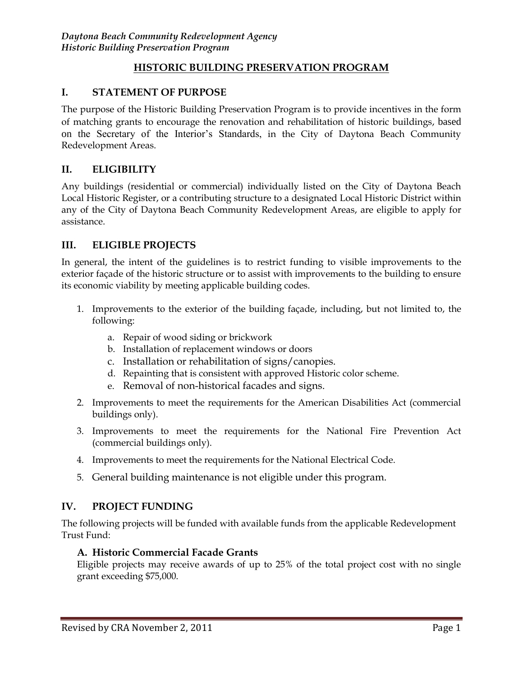### **HISTORIC BUILDING PRESERVATION PROGRAM**

### **I. STATEMENT OF PURPOSE**

The purpose of the Historic Building Preservation Program is to provide incentives in the form of matching grants to encourage the renovation and rehabilitation of historic buildings, based on the Secretary of the Interior's Standards, in the City of Daytona Beach Community Redevelopment Areas.

### **II. ELIGIBILITY**

Any buildings (residential or commercial) individually listed on the City of Daytona Beach Local Historic Register, or a contributing structure to a designated Local Historic District within any of the City of Daytona Beach Community Redevelopment Areas, are eligible to apply for assistance.

### **III. ELIGIBLE PROJECTS**

In general, the intent of the guidelines is to restrict funding to visible improvements to the exterior façade of the historic structure or to assist with improvements to the building to ensure its economic viability by meeting applicable building codes.

- 1. Improvements to the exterior of the building façade, including, but not limited to, the following:
	- a. Repair of wood siding or brickwork
	- b. Installation of replacement windows or doors
	- c. Installation or rehabilitation of signs/canopies.
	- d. Repainting that is consistent with approved Historic color scheme.
	- e. Removal of non-historical facades and signs.
- 2. Improvements to meet the requirements for the American Disabilities Act (commercial buildings only).
- 3. Improvements to meet the requirements for the National Fire Prevention Act (commercial buildings only).
- 4. Improvements to meet the requirements for the National Electrical Code.
- 5. General building maintenance is not eligible under this program.

# **IV. PROJECT FUNDING**

The following projects will be funded with available funds from the applicable Redevelopment Trust Fund:

#### **A. Historic Commercial Facade Grants**

Eligible projects may receive awards of up to 25% of the total project cost with no single grant exceeding \$75,000.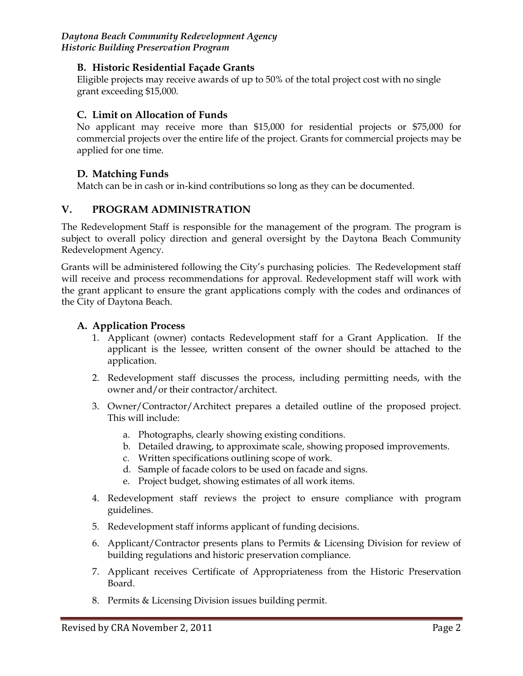*Daytona Beach Community Redevelopment Agency Historic Building Preservation Program*

### **B. Historic Residential Façade Grants**

Eligible projects may receive awards of up to 50% of the total project cost with no single grant exceeding \$15,000.

# **C. Limit on Allocation of Funds**

No applicant may receive more than \$15,000 for residential projects or \$75,000 for commercial projects over the entire life of the project. Grants for commercial projects may be applied for one time.

# **D. Matching Funds**

Match can be in cash or in-kind contributions so long as they can be documented.

# **V. PROGRAM ADMINISTRATION**

The Redevelopment Staff is responsible for the management of the program. The program is subject to overall policy direction and general oversight by the Daytona Beach Community Redevelopment Agency.

Grants will be administered following the City's purchasing policies. The Redevelopment staff will receive and process recommendations for approval. Redevelopment staff will work with the grant applicant to ensure the grant applications comply with the codes and ordinances of the City of Daytona Beach.

#### **A. Application Process**

- 1. Applicant (owner) contacts Redevelopment staff for a Grant Application. If the applicant is the lessee, written consent of the owner should be attached to the application.
- 2. Redevelopment staff discusses the process, including permitting needs, with the owner and/or their contractor/architect.
- 3. Owner/Contractor/Architect prepares a detailed outline of the proposed project. This will include:
	- a. Photographs, clearly showing existing conditions.
	- b. Detailed drawing, to approximate scale, showing proposed improvements.
	- c. Written specifications outlining scope of work.
	- d. Sample of facade colors to be used on facade and signs.
	- e. Project budget, showing estimates of all work items.
- 4. Redevelopment staff reviews the project to ensure compliance with program guidelines.
- 5. Redevelopment staff informs applicant of funding decisions.
- 6. Applicant/Contractor presents plans to Permits & Licensing Division for review of building regulations and historic preservation compliance.
- 7. Applicant receives Certificate of Appropriateness from the Historic Preservation Board.
- 8. Permits & Licensing Division issues building permit.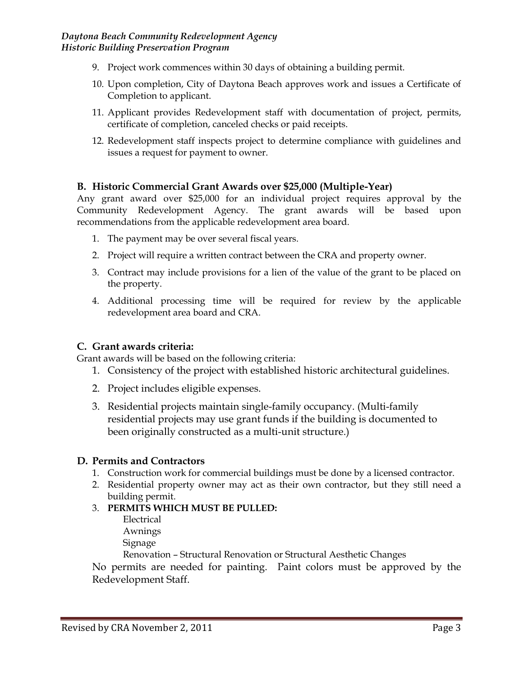- 9. Project work commences within 30 days of obtaining a building permit.
- 10. Upon completion, City of Daytona Beach approves work and issues a Certificate of Completion to applicant.
- 11. Applicant provides Redevelopment staff with documentation of project, permits, certificate of completion, canceled checks or paid receipts.
- 12. Redevelopment staff inspects project to determine compliance with guidelines and issues a request for payment to owner.

# **B. Historic Commercial Grant Awards over \$25,000 (Multiple-Year)**

Any grant award over \$25,000 for an individual project requires approval by the Community Redevelopment Agency. The grant awards will be based upon recommendations from the applicable redevelopment area board.

- 1. The payment may be over several fiscal years.
- 2. Project will require a written contract between the CRA and property owner.
- 3. Contract may include provisions for a lien of the value of the grant to be placed on the property.
- 4. Additional processing time will be required for review by the applicable redevelopment area board and CRA.

#### **C. Grant awards criteria:**

Grant awards will be based on the following criteria:

- 1. Consistency of the project with established historic architectural guidelines.
- 2. Project includes eligible expenses.
- 3. Residential projects maintain single-family occupancy. (Multi-family residential projects may use grant funds if the building is documented to been originally constructed as a multi-unit structure.)

#### **D. Permits and Contractors**

- 1. Construction work for commercial buildings must be done by a licensed contractor.
- 2. Residential property owner may act as their own contractor, but they still need a building permit.

#### 3. **PERMITS WHICH MUST BE PULLED:**

Electrical Awnings Signage

Renovation – Structural Renovation or Structural Aesthetic Changes

No permits are needed for painting. Paint colors must be approved by the Redevelopment Staff.